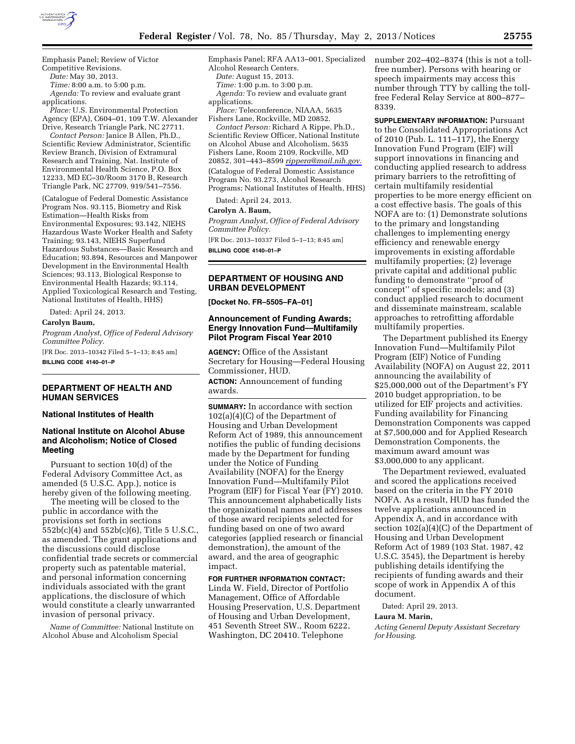

Emphasis Panel; Review of Victor

Competitive Revisions. *Date:* May 30, 2013.

*Time:* 8:00 a.m. to 5:00 p.m.

*Agenda:* To review and evaluate grant applications.

*Place:* U.S. Environmental Protection Agency (EPA), C604–01, 109 T.W. Alexander Drive, Research Triangle Park, NC 27711.

*Contact Person:* Janice B Allen, Ph.D., Scientific Review Administrator, Scientific Review Branch, Division of Extramural Research and Training, Nat. Institute of Environmental Health Science, P.O. Box 12233, MD EC–30/Room 3170 B, Research Triangle Park, NC 27709, 919/541–7556.

(Catalogue of Federal Domestic Assistance Program Nos. 93.115, Biometry and Risk Estimation—Health Risks from Environmental Exposures; 93.142, NIEHS Hazardous Waste Worker Health and Safety Training; 93.143, NIEHS Superfund Hazardous Substances—Basic Research and Education; 93.894, Resources and Manpower Development in the Environmental Health Sciences; 93.113, Biological Response to Environmental Health Hazards; 93.114, Applied Toxicological Research and Testing, National Institutes of Health, HHS)

Dated: April 24, 2013.

#### **Carolyn Baum,**

*Program Analyst, Office of Federal Advisory Committee Policy.* 

[FR Doc. 2013–10342 Filed 5–1–13; 8:45 am] **BILLING CODE 4140–01–P** 

## **DEPARTMENT OF HEALTH AND HUMAN SERVICES**

## **National Institutes of Health**

# **National Institute on Alcohol Abuse and Alcoholism; Notice of Closed Meeting**

Pursuant to section 10(d) of the Federal Advisory Committee Act, as amended (5 U.S.C. App.), notice is hereby given of the following meeting.

The meeting will be closed to the public in accordance with the provisions set forth in sections 552b(c)(4) and 552b(c)(6), Title 5 U.S.C., as amended. The grant applications and the discussions could disclose confidential trade secrets or commercial property such as patentable material, and personal information concerning individuals associated with the grant applications, the disclosure of which would constitute a clearly unwarranted invasion of personal privacy.

*Name of Committee:* National Institute on Alcohol Abuse and Alcoholism Special

Emphasis Panel; RFA AA13–001, Specialized

Alcohol Research Centers.

*Date:* August 15, 2013. *Time:* 1:00 p.m. to 3:00 p.m.

*Agenda:* To review and evaluate grant applications.

*Place:* Teleconference, NIAAA, 5635 Fishers Lane, Rockville, MD 20852.

*Contact Person:* Richard A Rippe, Ph.D., Scientific Review Officer, National Institute on Alcohol Abuse and Alcoholism, 5635 Fishers Lane, Room 2109, Rockville, MD 20852, 301–443–8599 *[rippera@mail.nih.gov.](mailto:rippera@mail.nih.gov)*  (Catalogue of Federal Domestic Assistance Program No. 93.273, Alcohol Research Programs; National Institutes of Health, HHS)

Dated: April 24, 2013.

#### **Carolyn A. Baum,**

*Program Analyst, Office of Federal Advisory Committee Policy.* 

[FR Doc. 2013–10337 Filed 5–1–13; 8:45 am] **BILLING CODE 4140–01–P** 

# **DEPARTMENT OF HOUSING AND URBAN DEVELOPMENT**

**[Docket No. FR–5505–FA–01]** 

## **Announcement of Funding Awards; Energy Innovation Fund—Multifamily Pilot Program Fiscal Year 2010**

**AGENCY:** Office of the Assistant Secretary for Housing—Federal Housing Commissioner, HUD.

**ACTION:** Announcement of funding awards.

**SUMMARY:** In accordance with section 102(a)(4)(C) of the Department of Housing and Urban Development Reform Act of 1989, this announcement notifies the public of funding decisions made by the Department for funding under the Notice of Funding Availability (NOFA) for the Energy Innovation Fund—Multifamily Pilot Program (EIF) for Fiscal Year (FY) 2010. This announcement alphabetically lists the organizational names and addresses of those award recipients selected for funding based on one of two award categories (applied research or financial demonstration), the amount of the award, and the area of geographic impact.

## **FOR FURTHER INFORMATION CONTACT:**

Linda W. Field, Director of Portfolio Management, Office of Affordable Housing Preservation, U.S. Department of Housing and Urban Development, 451 Seventh Street SW., Room 6222, Washington, DC 20410. Telephone

number 202–402–8374 (this is not a tollfree number). Persons with hearing or speech impairments may access this number through TTY by calling the tollfree Federal Relay Service at 800–877– 8339.

**SUPPLEMENTARY INFORMATION:** Pursuant to the Consolidated Appropriations Act of 2010 (Pub. L. 111–117), the Energy Innovation Fund Program (EIF) will support innovations in financing and conducting applied research to address primary barriers to the retrofitting of certain multifamily residential properties to be more energy efficient on a cost effective basis. The goals of this NOFA are to: (1) Demonstrate solutions to the primary and longstanding challenges to implementing energy efficiency and renewable energy improvements in existing affordable multifamily properties; (2) leverage private capital and additional public funding to demonstrate ''proof of concept'' of specific models; and (3) conduct applied research to document and disseminate mainstream, scalable approaches to retrofitting affordable multifamily properties.

The Department published its Energy Innovation Fund—Multifamily Pilot Program (EIF) Notice of Funding Availability (NOFA) on August 22, 2011 announcing the availability of \$25,000,000 out of the Department's FY 2010 budget appropriation, to be utilized for EIF projects and activities. Funding availability for Financing Demonstration Components was capped at \$7,500,000 and for Applied Research Demonstration Components, the maximum award amount was \$3,000,000 to any applicant.

The Department reviewed, evaluated and scored the applications received based on the criteria in the FY 2010 NOFA. As a result, HUD has funded the twelve applications announced in Appendix A, and in accordance with section 102(a)(4)(C) of the Department of Housing and Urban Development Reform Act of 1989 (103 Stat. 1987, 42 U.S.C. 3545), the Department is hereby publishing details identifying the recipients of funding awards and their scope of work in Appendix A of this document.

Dated: April 29, 2013.

#### **Laura M. Marin,**

*Acting General Deputy Assistant Secretary for Housing.*